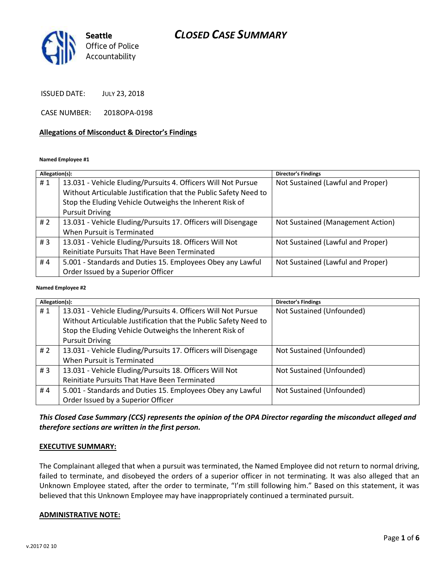

ISSUED DATE: JULY 23, 2018

CASE NUMBER: 2018OPA-0198

#### **Allegations of Misconduct & Director's Findings**

#### **Named Employee #1**

| Allegation(s): |                                                                  | <b>Director's Findings</b>        |
|----------------|------------------------------------------------------------------|-----------------------------------|
| #1             | 13.031 - Vehicle Eluding/Pursuits 4. Officers Will Not Pursue    | Not Sustained (Lawful and Proper) |
|                | Without Articulable Justification that the Public Safety Need to |                                   |
|                | Stop the Eluding Vehicle Outweighs the Inherent Risk of          |                                   |
|                | <b>Pursuit Driving</b>                                           |                                   |
| #2             | 13.031 - Vehicle Eluding/Pursuits 17. Officers will Disengage    | Not Sustained (Management Action) |
|                | When Pursuit is Terminated                                       |                                   |
| #3             | 13.031 - Vehicle Eluding/Pursuits 18. Officers Will Not          | Not Sustained (Lawful and Proper) |
|                | Reinitiate Pursuits That Have Been Terminated                    |                                   |
| #4             | 5.001 - Standards and Duties 15. Employees Obey any Lawful       | Not Sustained (Lawful and Proper) |
|                | Order Issued by a Superior Officer                               |                                   |
|                |                                                                  |                                   |

#### **Named Employee #2**

| Allegation(s): |                                                                  | Director's Findings       |
|----------------|------------------------------------------------------------------|---------------------------|
| #1             | 13.031 - Vehicle Eluding/Pursuits 4. Officers Will Not Pursue    | Not Sustained (Unfounded) |
|                | Without Articulable Justification that the Public Safety Need to |                           |
|                | Stop the Eluding Vehicle Outweighs the Inherent Risk of          |                           |
|                | <b>Pursuit Driving</b>                                           |                           |
| # $2$          | 13.031 - Vehicle Eluding/Pursuits 17. Officers will Disengage    | Not Sustained (Unfounded) |
|                | When Pursuit is Terminated                                       |                           |
| #3             | 13.031 - Vehicle Eluding/Pursuits 18. Officers Will Not          | Not Sustained (Unfounded) |
|                | Reinitiate Pursuits That Have Been Terminated                    |                           |
| #4             | 5.001 - Standards and Duties 15. Employees Obey any Lawful       | Not Sustained (Unfounded) |
|                | Order Issued by a Superior Officer                               |                           |

### *This Closed Case Summary (CCS) represents the opinion of the OPA Director regarding the misconduct alleged and therefore sections are written in the first person.*

#### **EXECUTIVE SUMMARY:**

The Complainant alleged that when a pursuit was terminated, the Named Employee did not return to normal driving, failed to terminate, and disobeyed the orders of a superior officer in not terminating. It was also alleged that an Unknown Employee stated, after the order to terminate, "I'm still following him." Based on this statement, it was believed that this Unknown Employee may have inappropriately continued a terminated pursuit.

#### **ADMINISTRATIVE NOTE:**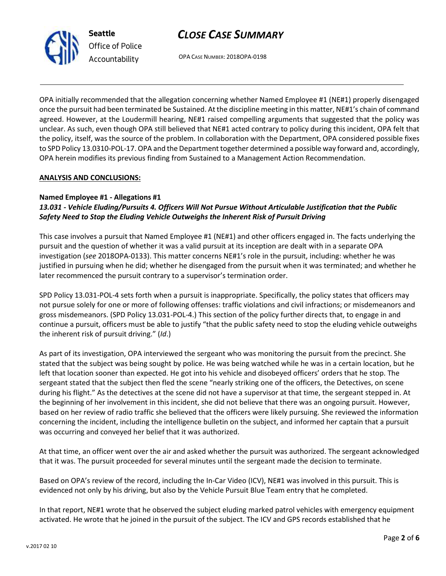

OPA CASE NUMBER: 2018OPA-0198

OPA initially recommended that the allegation concerning whether Named Employee #1 (NE#1) properly disengaged once the pursuit had been terminated be Sustained. At the discipline meeting in this matter, NE#1's chain of command agreed. However, at the Loudermill hearing, NE#1 raised compelling arguments that suggested that the policy was unclear. As such, even though OPA still believed that NE#1 acted contrary to policy during this incident, OPA felt that the policy, itself, was the source of the problem. In collaboration with the Department, OPA considered possible fixes to SPD Policy 13.0310-POL-17. OPA and the Department together determined a possible way forward and, accordingly, OPA herein modifies its previous finding from Sustained to a Management Action Recommendation.

### **ANALYSIS AND CONCLUSIONS:**

### **Named Employee #1 - Allegations #1**

## *13.031 - Vehicle Eluding/Pursuits 4. Officers Will Not Pursue Without Articulable Justification that the Public Safety Need to Stop the Eluding Vehicle Outweighs the Inherent Risk of Pursuit Driving*

This case involves a pursuit that Named Employee #1 (NE#1) and other officers engaged in. The facts underlying the pursuit and the question of whether it was a valid pursuit at its inception are dealt with in a separate OPA investigation (*see* 2018OPA-0133). This matter concerns NE#1's role in the pursuit, including: whether he was justified in pursuing when he did; whether he disengaged from the pursuit when it was terminated; and whether he later recommenced the pursuit contrary to a supervisor's termination order.

SPD Policy 13.031-POL-4 sets forth when a pursuit is inappropriate. Specifically, the policy states that officers may not pursue solely for one or more of following offenses: traffic violations and civil infractions; or misdemeanors and gross misdemeanors. (SPD Policy 13.031-POL-4.) This section of the policy further directs that, to engage in and continue a pursuit, officers must be able to justify "that the public safety need to stop the eluding vehicle outweighs the inherent risk of pursuit driving." (*Id*.)

As part of its investigation, OPA interviewed the sergeant who was monitoring the pursuit from the precinct. She stated that the subject was being sought by police. He was being watched while he was in a certain location, but he left that location sooner than expected. He got into his vehicle and disobeyed officers' orders that he stop. The sergeant stated that the subject then fled the scene "nearly striking one of the officers, the Detectives, on scene during his flight." As the detectives at the scene did not have a supervisor at that time, the sergeant stepped in. At the beginning of her involvement in this incident, she did not believe that there was an ongoing pursuit. However, based on her review of radio traffic she believed that the officers were likely pursuing. She reviewed the information concerning the incident, including the intelligence bulletin on the subject, and informed her captain that a pursuit was occurring and conveyed her belief that it was authorized.

At that time, an officer went over the air and asked whether the pursuit was authorized. The sergeant acknowledged that it was. The pursuit proceeded for several minutes until the sergeant made the decision to terminate.

Based on OPA's review of the record, including the In-Car Video (ICV), NE#1 was involved in this pursuit. This is evidenced not only by his driving, but also by the Vehicle Pursuit Blue Team entry that he completed.

In that report, NE#1 wrote that he observed the subject eluding marked patrol vehicles with emergency equipment activated. He wrote that he joined in the pursuit of the subject. The ICV and GPS records established that he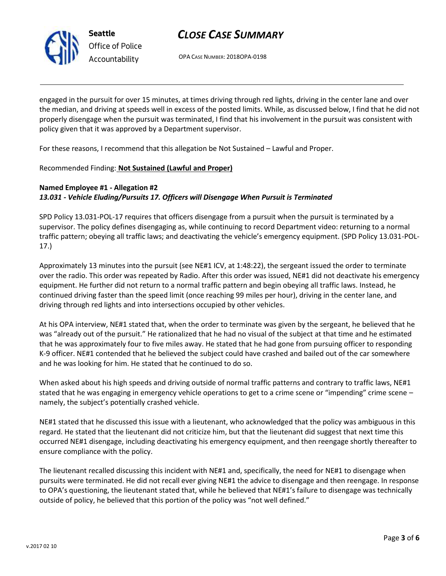

OPA CASE NUMBER: 2018OPA-0198

engaged in the pursuit for over 15 minutes, at times driving through red lights, driving in the center lane and over the median, and driving at speeds well in excess of the posted limits. While, as discussed below, I find that he did not properly disengage when the pursuit was terminated, I find that his involvement in the pursuit was consistent with policy given that it was approved by a Department supervisor.

For these reasons, I recommend that this allegation be Not Sustained – Lawful and Proper.

Recommended Finding: **Not Sustained (Lawful and Proper)**

## **Named Employee #1 - Allegation #2** *13.031 - Vehicle Eluding/Pursuits 17. Officers will Disengage When Pursuit is Terminated*

SPD Policy 13.031-POL-17 requires that officers disengage from a pursuit when the pursuit is terminated by a supervisor. The policy defines disengaging as, while continuing to record Department video: returning to a normal traffic pattern; obeying all traffic laws; and deactivating the vehicle's emergency equipment. (SPD Policy 13.031-POL-17.)

Approximately 13 minutes into the pursuit (see NE#1 ICV, at 1:48:22), the sergeant issued the order to terminate over the radio. This order was repeated by Radio. After this order was issued, NE#1 did not deactivate his emergency equipment. He further did not return to a normal traffic pattern and begin obeying all traffic laws. Instead, he continued driving faster than the speed limit (once reaching 99 miles per hour), driving in the center lane, and driving through red lights and into intersections occupied by other vehicles.

At his OPA interview, NE#1 stated that, when the order to terminate was given by the sergeant, he believed that he was "already out of the pursuit." He rationalized that he had no visual of the subject at that time and he estimated that he was approximately four to five miles away. He stated that he had gone from pursuing officer to responding K-9 officer. NE#1 contended that he believed the subject could have crashed and bailed out of the car somewhere and he was looking for him. He stated that he continued to do so.

When asked about his high speeds and driving outside of normal traffic patterns and contrary to traffic laws, NE#1 stated that he was engaging in emergency vehicle operations to get to a crime scene or "impending" crime scene – namely, the subject's potentially crashed vehicle.

NE#1 stated that he discussed this issue with a lieutenant, who acknowledged that the policy was ambiguous in this regard. He stated that the lieutenant did not criticize him, but that the lieutenant did suggest that next time this occurred NE#1 disengage, including deactivating his emergency equipment, and then reengage shortly thereafter to ensure compliance with the policy.

The lieutenant recalled discussing this incident with NE#1 and, specifically, the need for NE#1 to disengage when pursuits were terminated. He did not recall ever giving NE#1 the advice to disengage and then reengage. In response to OPA's questioning, the lieutenant stated that, while he believed that NE#1's failure to disengage was technically outside of policy, he believed that this portion of the policy was "not well defined."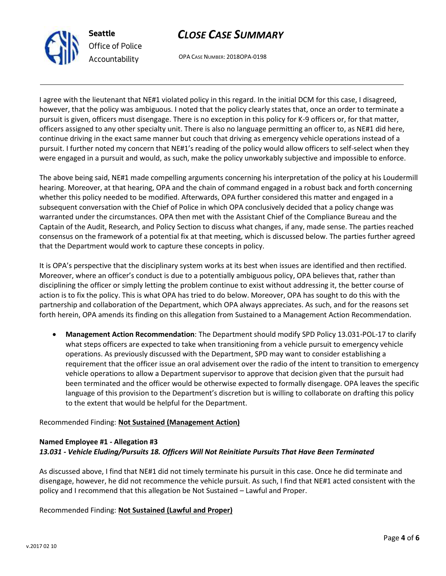

OPA CASE NUMBER: 2018OPA-0198

I agree with the lieutenant that NE#1 violated policy in this regard. In the initial DCM for this case, I disagreed, however, that the policy was ambiguous. I noted that the policy clearly states that, once an order to terminate a pursuit is given, officers must disengage. There is no exception in this policy for K-9 officers or, for that matter, officers assigned to any other specialty unit. There is also no language permitting an officer to, as NE#1 did here, continue driving in the exact same manner but couch that driving as emergency vehicle operations instead of a pursuit. I further noted my concern that NE#1's reading of the policy would allow officers to self-select when they were engaged in a pursuit and would, as such, make the policy unworkably subjective and impossible to enforce.

The above being said, NE#1 made compelling arguments concerning his interpretation of the policy at his Loudermill hearing. Moreover, at that hearing, OPA and the chain of command engaged in a robust back and forth concerning whether this policy needed to be modified. Afterwards, OPA further considered this matter and engaged in a subsequent conversation with the Chief of Police in which OPA conclusively decided that a policy change was warranted under the circumstances. OPA then met with the Assistant Chief of the Compliance Bureau and the Captain of the Audit, Research, and Policy Section to discuss what changes, if any, made sense. The parties reached consensus on the framework of a potential fix at that meeting, which is discussed below. The parties further agreed that the Department would work to capture these concepts in policy.

It is OPA's perspective that the disciplinary system works at its best when issues are identified and then rectified. Moreover, where an officer's conduct is due to a potentially ambiguous policy, OPA believes that, rather than disciplining the officer or simply letting the problem continue to exist without addressing it, the better course of action is to fix the policy. This is what OPA has tried to do below. Moreover, OPA has sought to do this with the partnership and collaboration of the Department, which OPA always appreciates. As such, and for the reasons set forth herein, OPA amends its finding on this allegation from Sustained to a Management Action Recommendation.

• **Management Action Recommendation**: The Department should modify SPD Policy 13.031-POL-17 to clarify what steps officers are expected to take when transitioning from a vehicle pursuit to emergency vehicle operations. As previously discussed with the Department, SPD may want to consider establishing a requirement that the officer issue an oral advisement over the radio of the intent to transition to emergency vehicle operations to allow a Department supervisor to approve that decision given that the pursuit had been terminated and the officer would be otherwise expected to formally disengage. OPA leaves the specific language of this provision to the Department's discretion but is willing to collaborate on drafting this policy to the extent that would be helpful for the Department.

### Recommended Finding: **Not Sustained (Management Action)**

## **Named Employee #1 - Allegation #3** *13.031 - Vehicle Eluding/Pursuits 18. Officers Will Not Reinitiate Pursuits That Have Been Terminated*

As discussed above, I find that NE#1 did not timely terminate his pursuit in this case. Once he did terminate and disengage, however, he did not recommence the vehicle pursuit. As such, I find that NE#1 acted consistent with the policy and I recommend that this allegation be Not Sustained – Lawful and Proper.

### Recommended Finding: **Not Sustained (Lawful and Proper)**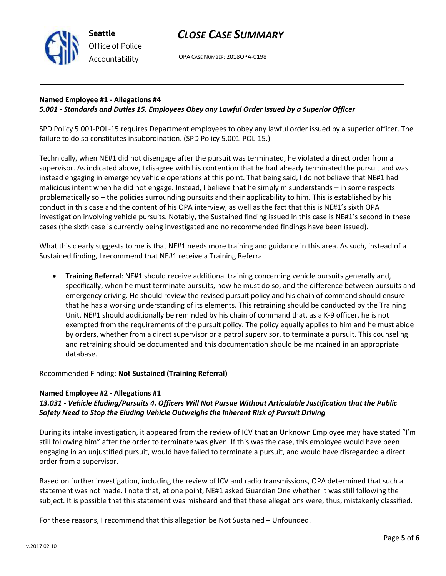

OPA CASE NUMBER: 2018OPA-0198

### **Named Employee #1 - Allegations #4** *5.001 - Standards and Duties 15. Employees Obey any Lawful Order Issued by a Superior Officer*

SPD Policy 5.001-POL-15 requires Department employees to obey any lawful order issued by a superior officer. The failure to do so constitutes insubordination. (SPD Policy 5.001-POL-15.)

Technically, when NE#1 did not disengage after the pursuit was terminated, he violated a direct order from a supervisor. As indicated above, I disagree with his contention that he had already terminated the pursuit and was instead engaging in emergency vehicle operations at this point. That being said, I do not believe that NE#1 had malicious intent when he did not engage. Instead, I believe that he simply misunderstands – in some respects problematically so – the policies surrounding pursuits and their applicability to him. This is established by his conduct in this case and the content of his OPA interview, as well as the fact that this is NE#1's sixth OPA investigation involving vehicle pursuits. Notably, the Sustained finding issued in this case is NE#1's second in these cases (the sixth case is currently being investigated and no recommended findings have been issued).

What this clearly suggests to me is that NE#1 needs more training and guidance in this area. As such, instead of a Sustained finding, I recommend that NE#1 receive a Training Referral.

• **Training Referral**: NE#1 should receive additional training concerning vehicle pursuits generally and, specifically, when he must terminate pursuits, how he must do so, and the difference between pursuits and emergency driving. He should review the revised pursuit policy and his chain of command should ensure that he has a working understanding of its elements. This retraining should be conducted by the Training Unit. NE#1 should additionally be reminded by his chain of command that, as a K-9 officer, he is not exempted from the requirements of the pursuit policy. The policy equally applies to him and he must abide by orders, whether from a direct supervisor or a patrol supervisor, to terminate a pursuit. This counseling and retraining should be documented and this documentation should be maintained in an appropriate database.

Recommended Finding: **Not Sustained (Training Referral)**

### **Named Employee #2 - Allegations #1**

### *13.031 - Vehicle Eluding/Pursuits 4. Officers Will Not Pursue Without Articulable Justification that the Public Safety Need to Stop the Eluding Vehicle Outweighs the Inherent Risk of Pursuit Driving*

During its intake investigation, it appeared from the review of ICV that an Unknown Employee may have stated "I'm still following him" after the order to terminate was given. If this was the case, this employee would have been engaging in an unjustified pursuit, would have failed to terminate a pursuit, and would have disregarded a direct order from a supervisor.

Based on further investigation, including the review of ICV and radio transmissions, OPA determined that such a statement was not made. I note that, at one point, NE#1 asked Guardian One whether it was still following the subject. It is possible that this statement was misheard and that these allegations were, thus, mistakenly classified.

For these reasons, I recommend that this allegation be Not Sustained – Unfounded.